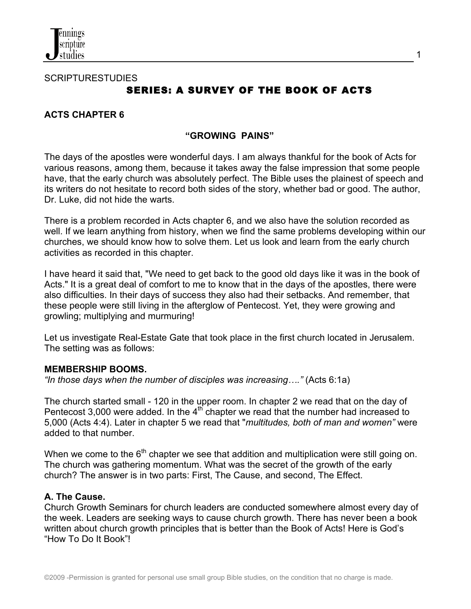

**SCRIPTURESTUDIES SERIES: A SURVEY OF THE BOOK OF ACTS** 

### **ACTS CHAPTER 6**

#### **"GROWING PAINS"**

The days of the apostles were wonderful days. I am always thankful for the book of Acts for various reasons, among them, because it takes away the false impression that some people have, that the early church was absolutely perfect. The Bible uses the plainest of speech and its writers do not hesitate to record both sides of the story, whether bad or good. The author, Dr. Luke, did not hide the warts.

There is a problem recorded in Acts chapter 6, and we also have the solution recorded as well. If we learn anything from history, when we find the same problems developing within our churches, we should know how to solve them. Let us look and learn from the early church activities as recorded in this chapter.

I have heard it said that, "We need to get back to the good old days like it was in the book of Acts." It is a great deal of comfort to me to know that in the days of the apostles, there were also difficulties. In their days of success they also had their setbacks. And remember, that these people were still living in the afterglow of Pentecost. Yet, they were growing and growling; multiplying and murmuring!

Let us investigate Real-Estate Gate that took place in the first church located in Jerusalem. The setting was as follows:

#### **MEMBERSHIP BOOMS.**

*"In those days when the number of disciples was increasing…."* (Acts 6:1a)

The church started small - 120 in the upper room. In chapter 2 we read that on the day of Pentecost 3,000 were added. In the  $4<sup>th</sup>$  chapter we read that the number had increased to 5,000 (Acts 4:4). Later in chapter 5 we read that "*multitudes, both of man and women"* were added to that number.

When we come to the  $6<sup>th</sup>$  chapter we see that addition and multiplication were still going on. The church was gathering momentum. What was the secret of the growth of the early church? The answer is in two parts: First, The Cause, and second, The Effect.

#### **A. The Cause.**

Church Growth Seminars for church leaders are conducted somewhere almost every day of the week. Leaders are seeking ways to cause church growth. There has never been a book written about church growth principles that is better than the Book of Acts! Here is God's "How To Do It Book"!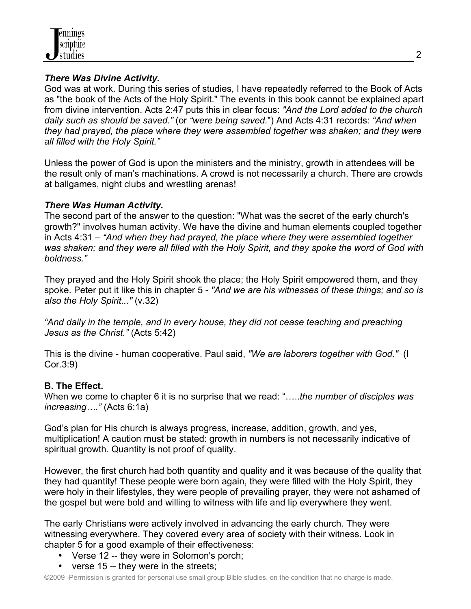

## *There Was Divine Activity.*

God was at work. During this series of studies, I have repeatedly referred to the Book of Acts as "the book of the Acts of the Holy Spirit." The events in this book cannot be explained apart from divine intervention. Acts 2:47 puts this in clear focus: *"And the Lord added to the church daily such as should be saved."* (or *"were being saved.*") And Acts 4:31 records: *"And when they had prayed, the place where they were assembled together was shaken; and they were all filled with the Holy Spirit."*

Unless the power of God is upon the ministers and the ministry, growth in attendees will be the result only of man's machinations. A crowd is not necessarily a church. There are crowds at ballgames, night clubs and wrestling arenas!

### *There Was Human Activity.*

The second part of the answer to the question: "What was the secret of the early church's growth?" involves human activity. We have the divine and human elements coupled together in Acts 4:31 – *"And when they had prayed, the place where they were assembled together was shaken; and they were all filled with the Holy Spirit, and they spoke the word of God with boldness."* 

They prayed and the Holy Spirit shook the place; the Holy Spirit empowered them, and they spoke. Peter put it like this in chapter 5 - *"And we are his witnesses of these things; and so is also the Holy Spirit..."* (v.32)

*"And daily in the temple, and in every house, they did not cease teaching and preaching Jesus as the Christ."* (Acts 5:42)

This is the divine - human cooperative. Paul said, *"We are laborers together with God."* (I Cor.3:9)

### **B. The Effect.**

When we come to chapter 6 it is no surprise that we read: "…..*the number of disciples was increasing…."* (Acts 6:1a)

God's plan for His church is always progress, increase, addition, growth, and yes, multiplication! A caution must be stated: growth in numbers is not necessarily indicative of spiritual growth. Quantity is not proof of quality.

However, the first church had both quantity and quality and it was because of the quality that they had quantity! These people were born again, they were filled with the Holy Spirit, they were holy in their lifestyles, they were people of prevailing prayer, they were not ashamed of the gospel but were bold and willing to witness with life and lip everywhere they went.

The early Christians were actively involved in advancing the early church. They were witnessing everywhere. They covered every area of society with their witness. Look in chapter 5 for a good example of their effectiveness:

- Verse 12 -- they were in Solomon's porch;
- verse 15 -- they were in the streets;

©2009 -Permission is granted for personal use small group Bible studies, on the condition that no charge is made.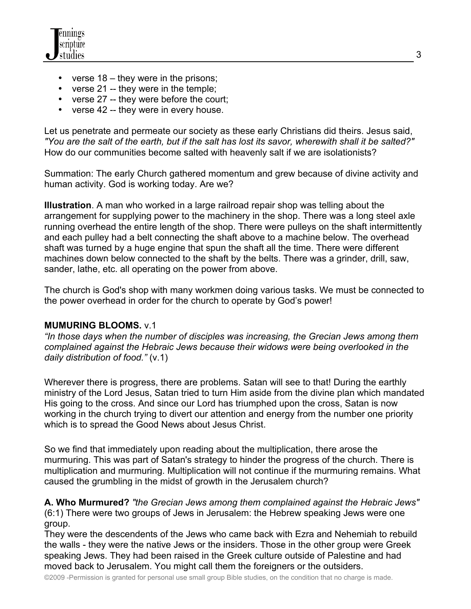- verse 18 they were in the prisons;
- verse 21 -- they were in the temple;
- verse 27 -- they were before the court;
- verse 42 -- they were in every house.

Let us penetrate and permeate our society as these early Christians did theirs. Jesus said, *"You are the salt of the earth, but if the salt has lost its savor, wherewith shall it be salted?"* How do our communities become salted with heavenly salt if we are isolationists?

Summation: The early Church gathered momentum and grew because of divine activity and human activity. God is working today. Are we?

**Illustration**. A man who worked in a large railroad repair shop was telling about the arrangement for supplying power to the machinery in the shop. There was a long steel axle running overhead the entire length of the shop. There were pulleys on the shaft intermittently and each pulley had a belt connecting the shaft above to a machine below. The overhead shaft was turned by a huge engine that spun the shaft all the time. There were different machines down below connected to the shaft by the belts. There was a grinder, drill, saw, sander, lathe, etc. all operating on the power from above.

The church is God's shop with many workmen doing various tasks. We must be connected to the power overhead in order for the church to operate by God's power!

# **MUMURING BLOOMS.** v.1

*"In those days when the number of disciples was increasing, the Grecian Jews among them complained against the Hebraic Jews because their widows were being overlooked in the daily distribution of food."* (v.1)

Wherever there is progress, there are problems. Satan will see to that! During the earthly ministry of the Lord Jesus, Satan tried to turn Him aside from the divine plan which mandated His going to the cross. And since our Lord has triumphed upon the cross, Satan is now working in the church trying to divert our attention and energy from the number one priority which is to spread the Good News about Jesus Christ.

So we find that immediately upon reading about the multiplication, there arose the murmuring. This was part of Satan's strategy to hinder the progress of the church. There is multiplication and murmuring. Multiplication will not continue if the murmuring remains. What caused the grumbling in the midst of growth in the Jerusalem church?

**A. Who Murmured?** *"the Grecian Jews among them complained against the Hebraic Jews"* (6:1) There were two groups of Jews in Jerusalem: the Hebrew speaking Jews were one group.

They were the descendents of the Jews who came back with Ezra and Nehemiah to rebuild the walls - they were the native Jews or the insiders. Those in the other group were Greek speaking Jews. They had been raised in the Greek culture outside of Palestine and had moved back to Jerusalem. You might call them the foreigners or the outsiders.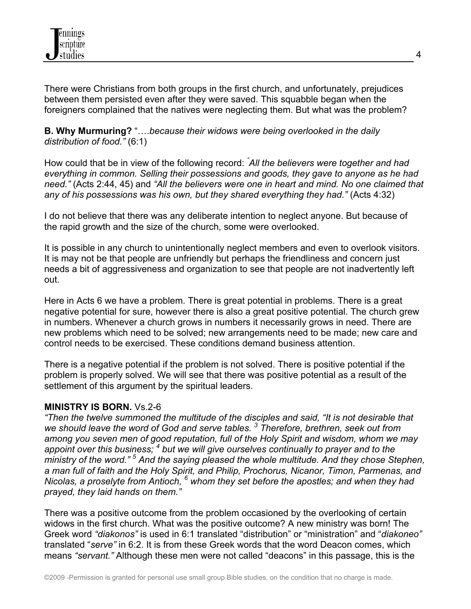

There were Christians from both groups in the first church, and unfortunately, prejudices between them persisted even after they were saved. This squabble began when the foreigners complained that the natives were neglecting them. But what was the problem?

**B. Why Murmuring?** "….*because their widows were being overlooked in the daily distribution of food."* (6:1)

How could that be in view of the following record: *" All the believers were together and had everything in common. Selling their possessions and goods, they gave to anyone as he had need."* (Acts 2:44, 45) and *"All the believers were one in heart and mind. No one claimed that any of his possessions was his own, but they shared everything they had."* (Acts 4:32)

I do not believe that there was any deliberate intention to neglect anyone. But because of the rapid growth and the size of the church, some were overlooked.

It is possible in any church to unintentionally neglect members and even to overlook visitors. It is may not be that people are unfriendly but perhaps the friendliness and concern just needs a bit of aggressiveness and organization to see that people are not inadvertently left out.

Here in Acts 6 we have a problem. There is great potential in problems. There is a great negative potential for sure, however there is also a great positive potential. The church grew in numbers. Whenever a church grows in numbers it necessarily grows in need. There are new problems which need to be solved; new arrangements need to be made; new care and control needs to be exercised. These conditions demand business attention.

There is a negative potential if the problem is not solved. There is positive potential if the problem is properly solved. We will see that there was positive potential as a result of the settlement of this argument by the spiritual leaders.

### **MINISTRY IS BORN.** Vs.2-6

*"Then the twelve summoned the multitude of the disciples and said, "It is not desirable that we should leave the word of God and serve tables. 3 Therefore, brethren, seek out from among you seven men of good reputation, full of the Holy Spirit and wisdom, whom we may*  appoint over this business; <sup>4</sup> but we will give ourselves continually to prayer and to the ministry of the word."<sup>5</sup> And the saying pleased the whole multitude. And they chose Stephen, *a man full of faith and the Holy Spirit, and Philip, Prochorus, Nicanor, Timon, Parmenas, and Nicolas, a proselyte from Antioch, 6 whom they set before the apostles; and when they had prayed, they laid hands on them."*

There was a positive outcome from the problem occasioned by the overlooking of certain widows in the first church. What was the positive outcome? A new ministry was born! The Greek word *"diakonos"* is used in 6:1 translated "distribution" or "ministration" and "*diakoneo"* translated "*serve"* in 6:2. It is from these Greek words that the word Deacon comes, which means *"servant."* Although these men were not called "deacons" in this passage, this is the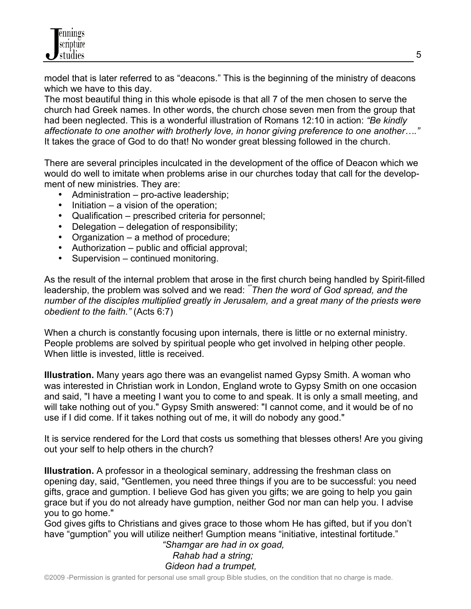model that is later referred to as "deacons." This is the beginning of the ministry of deacons which we have to this day.

The most beautiful thing in this whole episode is that all 7 of the men chosen to serve the church had Greek names. In other words, the church chose seven men from the group that had been neglected. This is a wonderful illustration of Romans 12:10 in action: *"Be kindly affectionate to one another with brotherly love, in honor giving preference to one another…."*  It takes the grace of God to do that! No wonder great blessing followed in the church.

There are several principles inculcated in the development of the office of Deacon which we would do well to imitate when problems arise in our churches today that call for the development of new ministries. They are:

- Administration pro-active leadership;
- Initiation a vision of the operation;
- Qualification prescribed criteria for personnel;
- Delegation delegation of responsibility;
- Organization a method of procedure;
- Authorization public and official approval;
- Supervision continued monitoring.

As the result of the internal problem that arose in the first church being handled by Spirit-filled leadership, the problem was solved and we read: *""Then the word of God spread, and the number of the disciples multiplied greatly in Jerusalem, and a great many of the priests were obedient to the faith."* (Acts 6:7)

When a church is constantly focusing upon internals, there is little or no external ministry. People problems are solved by spiritual people who get involved in helping other people. When little is invested, little is received.

**Illustration.** Many years ago there was an evangelist named Gypsy Smith. A woman who was interested in Christian work in London, England wrote to Gypsy Smith on one occasion and said, "I have a meeting I want you to come to and speak. It is only a small meeting, and will take nothing out of you." Gypsy Smith answered: "I cannot come, and it would be of no use if I did come. If it takes nothing out of me, it will do nobody any good."

It is service rendered for the Lord that costs us something that blesses others! Are you giving out your self to help others in the church?

**Illustration.** A professor in a theological seminary, addressing the freshman class on opening day, said, "Gentlemen, you need three things if you are to be successful: you need gifts, grace and gumption. I believe God has given you gifts; we are going to help you gain grace but if you do not already have gumption, neither God nor man can help you. I advise you to go home."

God gives gifts to Christians and gives grace to those whom He has gifted, but if you don't have "gumption" you will utilize neither! Gumption means "initiative, intestinal fortitude."

## *"Shamgar are had in ox goad, Rahab had a string; Gideon had a trumpet,*

©2009 -Permission is granted for personal use small group Bible studies, on the condition that no charge is made.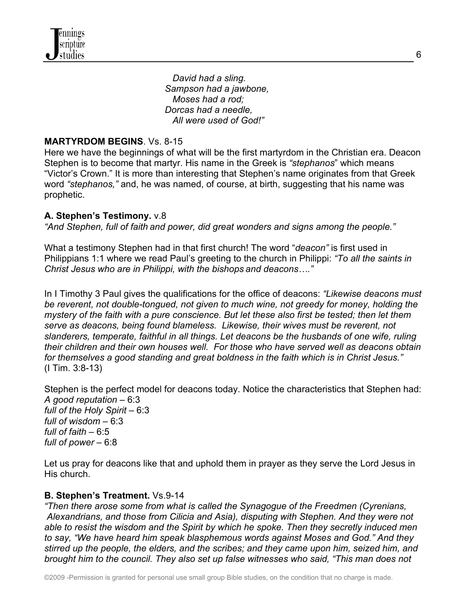*David had a sling. Sampson had a jawbone, Moses had a rod; Dorcas had a needle, All were used of God!"*

### **MARTYRDOM BEGINS**. Vs. 8-15

Here we have the beginnings of what will be the first martyrdom in the Christian era. Deacon Stephen is to become that martyr. His name in the Greek is *"stephanos*" which means "Victor's Crown." It is more than interesting that Stephen's name originates from that Greek word *"stephanos,"* and, he was named, of course, at birth, suggesting that his name was prophetic.

### **A. Stephen's Testimony.** v.8

*"And Stephen, full of faith and power, did great wonders and signs among the people."*

What a testimony Stephen had in that first church! The word "*deacon"* is first used in Philippians 1:1 where we read Paul's greeting to the church in Philippi: *"To all the saints in Christ Jesus who are in Philippi, with the bishops and deacons…."* 

In I Timothy 3 Paul gives the qualifications for the office of deacons: *"Likewise deacons must be reverent, not double-tongued, not given to much wine, not greedy for money, holding the mystery of the faith with a pure conscience. But let these also first be tested; then let them serve as deacons, being found blameless. Likewise, their wives must be reverent, not slanderers, temperate, faithful in all things. Let deacons be the husbands of one wife, ruling their children and their own houses well. For those who have served well as deacons obtain for themselves a good standing and great boldness in the faith which is in Christ Jesus."*  (I Tim. 3:8-13)

Stephen is the perfect model for deacons today. Notice the characteristics that Stephen had: *A good reputation* – 6:3 *full of the Holy Spirit* – 6:3 *full of wisdom* – 6:3 *full of faith* – 6:5 *full of power* – 6:8

Let us pray for deacons like that and uphold them in prayer as they serve the Lord Jesus in His church.

### **B. Stephen's Treatment.** Vs.9-14

*"Then there arose some from what is called the Synagogue of the Freedmen (Cyrenians, Alexandrians, and those from Cilicia and Asia), disputing with Stephen. And they were not able to resist the wisdom and the Spirit by which he spoke. Then they secretly induced men to say, "We have heard him speak blasphemous words against Moses and God." And they stirred up the people, the elders, and the scribes; and they came upon him, seized him, and brought him to the council. They also set up false witnesses who said, "This man does not*